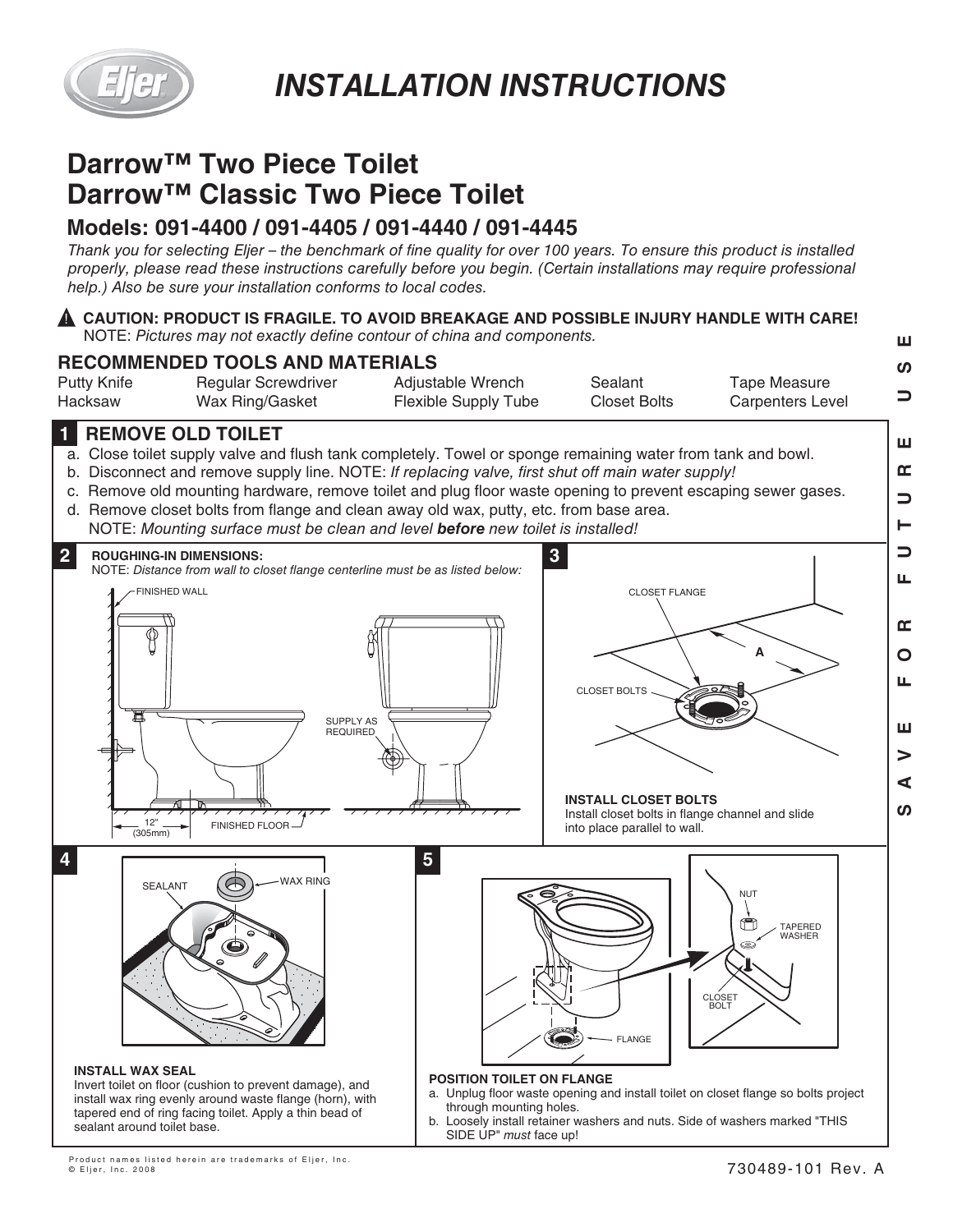

# **Darrow™ Two Piece Toilet Darrow™ Classic Two Piece Toilet**

## **Models: 091-4400 / 091-4405 / 091-4440 / 091-4445**

*Thank you for selecting Eljer – the benchmark of fine quality for over 100 years. To ensure this product is installed properly, please read these instructions carefully before you begin. (Certain installations may require professional help.) Also be sure your installation conforms to local codes.*

### **CAUTION: PRODUCT IS FRAGILE. TO AVOID BREAKAGE AND POSSIBLE INJURY HANDLE WITH CARE!** ! NOTE: *Pictures may not exactly define contour of china and components.*



### **1 REMOVE OLD TOILET**

- a. Close toilet supply valve and flush tank completely. Towel or sponge remaining water from tank and bowl.
- b. Disconnect and remove supply line. NOTE: *If replacing valve, first shut off main water supply!*
- c. Remove old mounting hardware, remove toilet and plug floor waste opening to prevent escaping sewer gases.
- d. Remove closet bolts from flange and clean away old wax, putty, etc. from base area. NOTE: *Mounting surface must be clean and level before new toilet is installed!*



Product names listed herein are trademarks of Eljer, Inc.

© Eljer, Inc. 2008

ш

ш m  $\Box$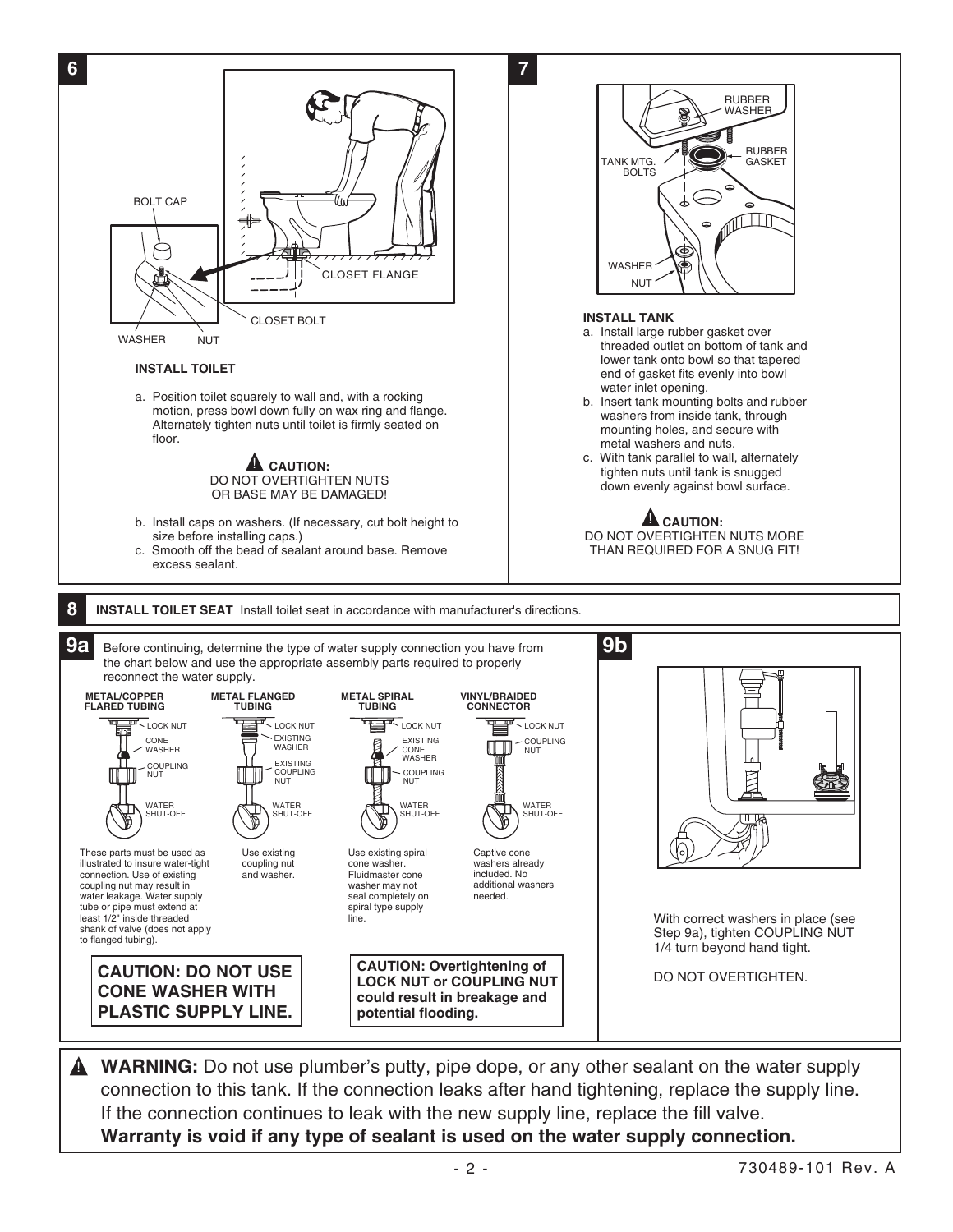

**A** WARNING: Do not use plumber's putty, pipe dope, or any other sealant on the water supply connection to this tank. If the connection leaks after hand tightening, replace the supply line. If the connection continues to leak with the new supply line, replace the fill valve. **Warranty is void if any type of sealant is used on the water supply connection.**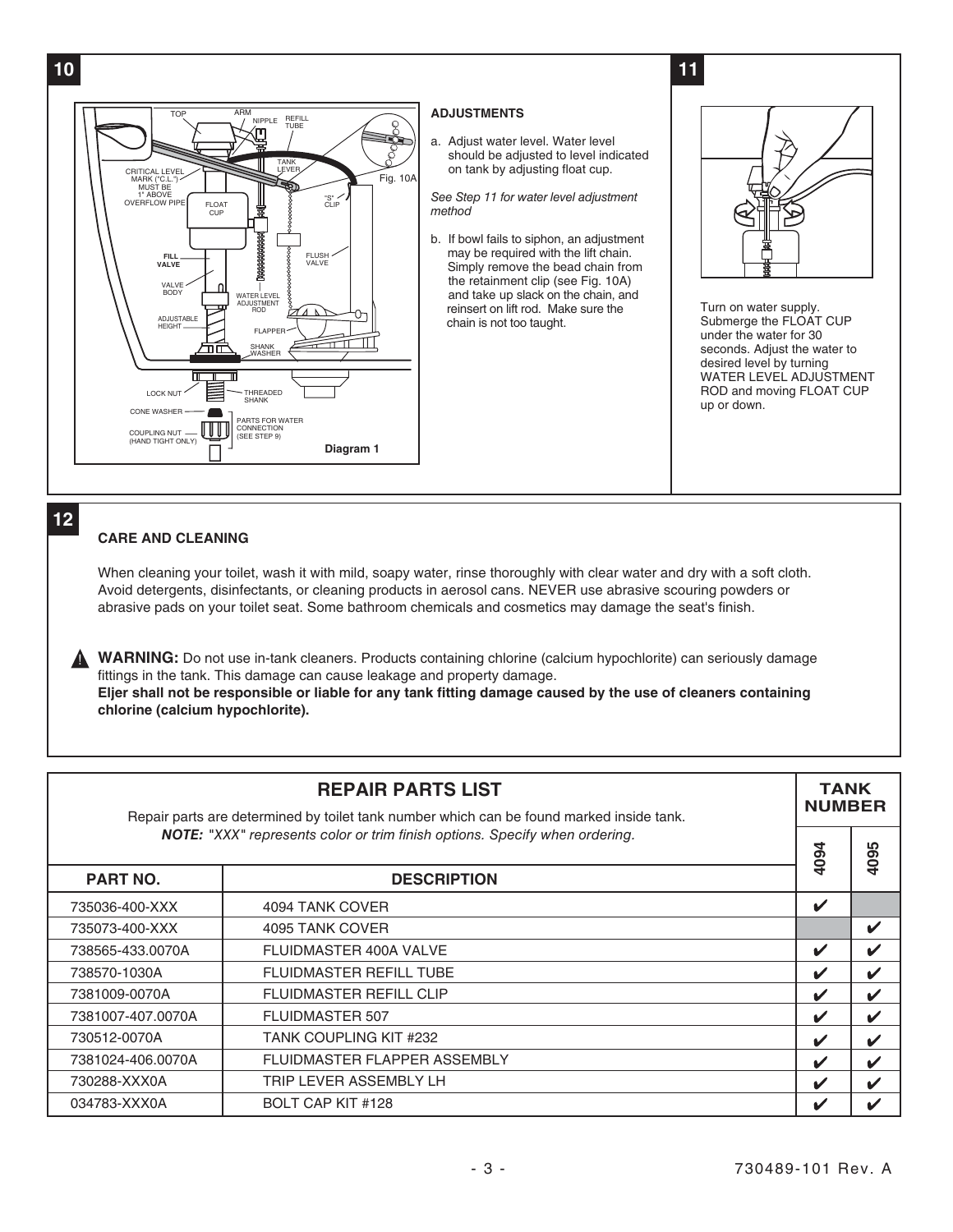

### **12**

#### **CARE AND CLEANING**

When cleaning your toilet, wash it with mild, soapy water, rinse thoroughly with clear water and dry with a soft cloth. Avoid detergents, disinfectants, or cleaning products in aerosol cans. NEVER use abrasive scouring powders or abrasive pads on your toilet seat. Some bathroom chemicals and cosmetics may damage the seat's finish.

**WARNING:** Do not use in-tank cleaners. Products containing chlorine (calcium hypochlorite) can seriously damage fittings in the tank. This damage can cause leakage and property damage. **Eljer shall not be responsible or liable for any tank fitting damage caused by the use of cleaners containing chlorine (calcium hypochlorite).** 

| <b>REPAIR PARTS LIST</b><br>Repair parts are determined by toilet tank number which can be found marked inside tank. |                                |      | <b>TANK</b><br><b>NUMBER</b> |  |
|----------------------------------------------------------------------------------------------------------------------|--------------------------------|------|------------------------------|--|
| NOTE: "XXX" represents color or trim finish options. Specify when ordering.                                          |                                |      | 4095                         |  |
| <b>PART NO.</b>                                                                                                      | <b>DESCRIPTION</b>             | 4094 |                              |  |
| 735036-400-XXX                                                                                                       | 4094 TANK COVER                | V    |                              |  |
| 735073-400-XXX                                                                                                       | 4095 TANK COVER                |      | V                            |  |
| 738565-433.0070A                                                                                                     | FLUIDMASTER 400A VALVE         | ✓    | ✔                            |  |
| 738570-1030A                                                                                                         | <b>FLUIDMASTER REFILL TUBE</b> | ✔    | V                            |  |
| 7381009-0070A                                                                                                        | <b>FLUIDMASTER REFILL CLIP</b> | V    | $\boldsymbol{\mathscr{C}}$   |  |
| 7381007-407.0070A                                                                                                    | <b>FLUIDMASTER 507</b>         | V    | $\boldsymbol{\nu}$           |  |
| 730512-0070A                                                                                                         | <b>TANK COUPLING KIT #232</b>  | V    | $\checkmark$                 |  |
| 7381024-406.0070A                                                                                                    | FLUIDMASTER FLAPPER ASSEMBLY   | ✔    | ✔                            |  |
| 730288-XXX0A                                                                                                         | TRIP LEVER ASSEMBLY LH         | V    | V                            |  |
| 034783-XXX0A                                                                                                         | BOLT CAP KIT #128              | V    |                              |  |